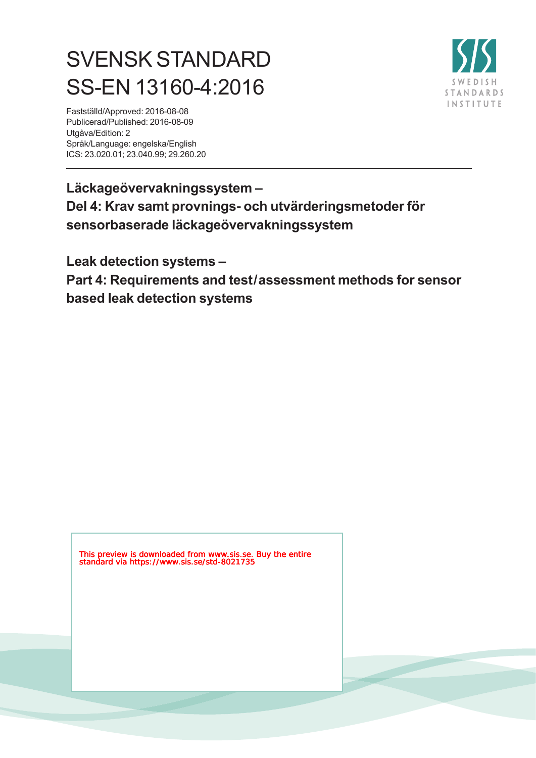# SVENSK STANDARD SS-EN 13160-4:2016



Fastställd/Approved: 2016-08-08 Publicerad/Published: 2016-08-09 Utgåva/Edition: 2 Språk/Language: engelska/English ICS: 23.020.01; 23.040.99; 29.260.20

**Läckageövervakningssystem – Del 4: Krav samt provnings- och utvärderingsmetoder för sensorbaserade läckageövervakningssystem**

**Leak detection systems –** 

**Part 4: Requirements and test / assessment methods for sensor based leak detection systems**

This preview is downloaded from www.sis.se. Buy the entire standard via https://www.sis.se/std-8021735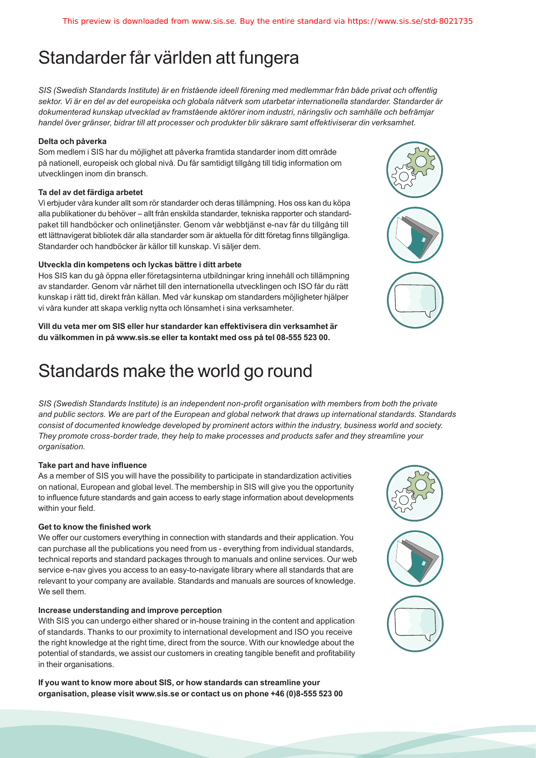# Standarder får världen att fungera

*SIS (Swedish Standards Institute) är en fristående ideell förening med medlemmar från både privat och offentlig sektor. Vi är en del av det europeiska och globala nätverk som utarbetar internationella standarder. Standarder är dokumenterad kunskap utvecklad av framstående aktörer inom industri, näringsliv och samhälle och befrämjar handel över gränser, bidrar till att processer och produkter blir säkrare samt effektiviserar din verksamhet.* 

#### **Delta och påverka**

Som medlem i SIS har du möjlighet att påverka framtida standarder inom ditt område på nationell, europeisk och global nivå. Du får samtidigt tillgång till tidig information om utvecklingen inom din bransch.

#### **Ta del av det färdiga arbetet**

Vi erbjuder våra kunder allt som rör standarder och deras tillämpning. Hos oss kan du köpa alla publikationer du behöver – allt från enskilda standarder, tekniska rapporter och standardpaket till handböcker och onlinetjänster. Genom vår webbtjänst e-nav får du tillgång till ett lättnavigerat bibliotek där alla standarder som är aktuella för ditt företag finns tillgängliga. Standarder och handböcker är källor till kunskap. Vi säljer dem.

#### **Utveckla din kompetens och lyckas bättre i ditt arbete**

Hos SIS kan du gå öppna eller företagsinterna utbildningar kring innehåll och tillämpning av standarder. Genom vår närhet till den internationella utvecklingen och ISO får du rätt kunskap i rätt tid, direkt från källan. Med vår kunskap om standarders möjligheter hjälper vi våra kunder att skapa verklig nytta och lönsamhet i sina verksamheter.

**Vill du veta mer om SIS eller hur standarder kan effektivisera din verksamhet är du välkommen in på www.sis.se eller ta kontakt med oss på tel 08-555 523 00.**

# Standards make the world go round

*SIS (Swedish Standards Institute) is an independent non-profit organisation with members from both the private and public sectors. We are part of the European and global network that draws up international standards. Standards consist of documented knowledge developed by prominent actors within the industry, business world and society. They promote cross-border trade, they help to make processes and products safer and they streamline your organisation.*

#### **Take part and have influence**

As a member of SIS you will have the possibility to participate in standardization activities on national, European and global level. The membership in SIS will give you the opportunity to influence future standards and gain access to early stage information about developments within your field.

#### **Get to know the finished work**

We offer our customers everything in connection with standards and their application. You can purchase all the publications you need from us - everything from individual standards, technical reports and standard packages through to manuals and online services. Our web service e-nav gives you access to an easy-to-navigate library where all standards that are relevant to your company are available. Standards and manuals are sources of knowledge. We sell them.

#### **Increase understanding and improve perception**

With SIS you can undergo either shared or in-house training in the content and application of standards. Thanks to our proximity to international development and ISO you receive the right knowledge at the right time, direct from the source. With our knowledge about the potential of standards, we assist our customers in creating tangible benefit and profitability in their organisations.

**If you want to know more about SIS, or how standards can streamline your organisation, please visit www.sis.se or contact us on phone +46 (0)8-555 523 00**



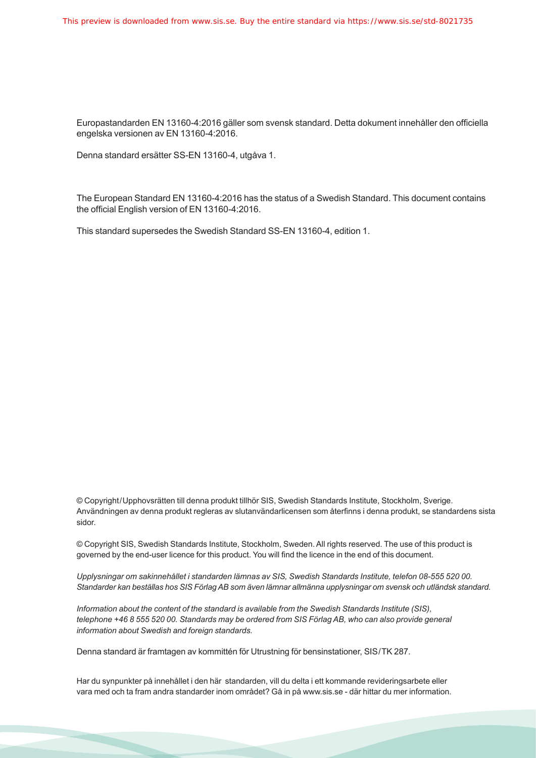Europastandarden EN 13160-4:2016 gäller som svensk standard. Detta dokument innehåller den officiella engelska versionen av EN 13160-4:2016.

Denna standard ersätter SS-EN 13160-4, utgåva 1.

The European Standard EN 13160-4:2016 has the status of a Swedish Standard. This document contains the official English version of EN 13160-4:2016.

This standard supersedes the Swedish Standard SS-EN 13160-4, edition 1.

© Copyright / Upphovsrätten till denna produkt tillhör SIS, Swedish Standards Institute, Stockholm, Sverige. Användningen av denna produkt regleras av slutanvändarlicensen som återfinns i denna produkt, se standardens sista sidor.

© Copyright SIS, Swedish Standards Institute, Stockholm, Sweden. All rights reserved. The use of this product is governed by the end-user licence for this product. You will find the licence in the end of this document.

*Upplysningar om sakinnehållet i standarden lämnas av SIS, Swedish Standards Institute, telefon 08-555 520 00. Standarder kan beställas hos SIS Förlag AB som även lämnar allmänna upplysningar om svensk och utländsk standard.*

*Information about the content of the standard is available from the Swedish Standards Institute (SIS), telephone +46 8 555 520 00. Standards may be ordered from SIS Förlag AB, who can also provide general information about Swedish and foreign standards.*

Denna standard är framtagen av kommittén för Utrustning för bensinstationer, SIS / TK 287.

Har du synpunkter på innehållet i den här standarden, vill du delta i ett kommande revideringsarbete eller vara med och ta fram andra standarder inom området? Gå in på www.sis.se - där hittar du mer information.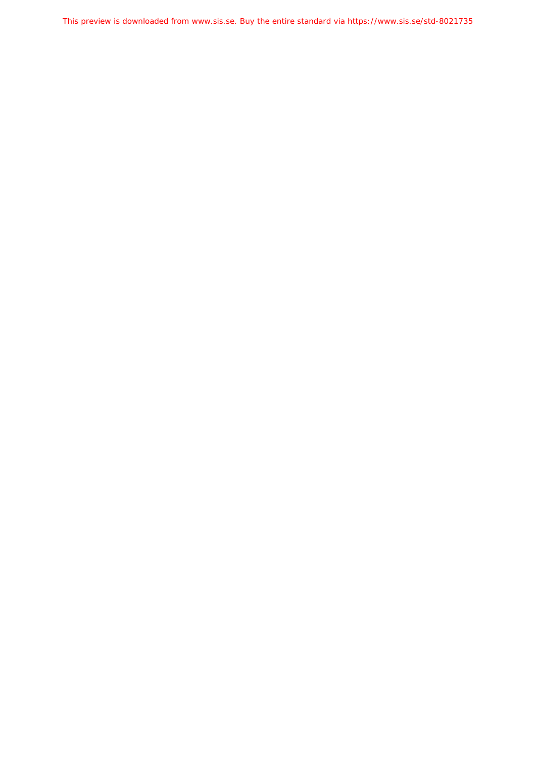This preview is downloaded from www.sis.se. Buy the entire standard via https://www.sis.se/std-8021735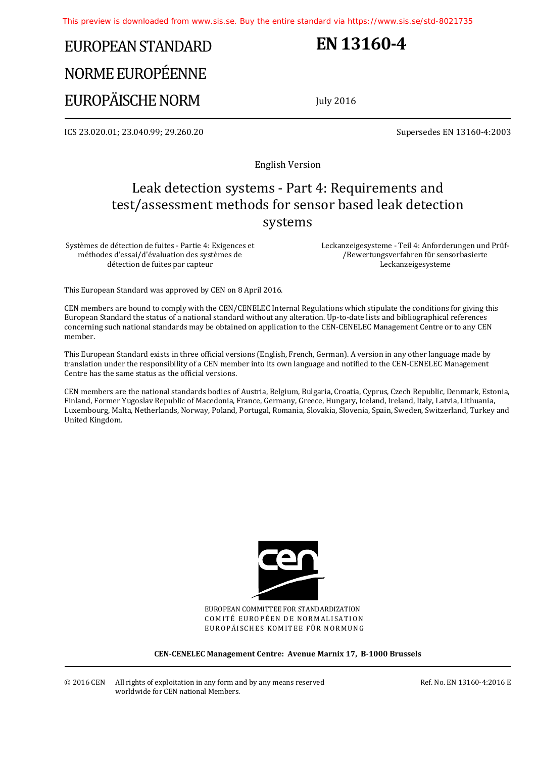# EUROPEAN STANDARD NORME EUROPÉENNE EUROPÄISCHE NORM

# **EN 13160-4**

July 2016

ICS 23.020.01; 23.040.99; 29.260.20 Supersedes EN 13160-4:2003

English Version

## Leak detection systems - Part 4: Requirements and test/assessment methods for sensor based leak detection systems

Systèmes de détection de fuites - Partie 4: Exigences et méthodes d'essai/d'évaluation des systèmes de détection de fuites par capteur

 Leckanzeigesysteme - Teil 4: Anforderungen und Prüf- /Bewertungsverfahren für sensorbasierte Leckanzeigesysteme

This European Standard was approved by CEN on 8 April 2016.

CEN members are bound to comply with the CEN/CENELEC Internal Regulations which stipulate the conditions for giving this European Standard the status of a national standard without any alteration. Up-to-date lists and bibliographical references concerning such national standards may be obtained on application to the CEN-CENELEC Management Centre or to any CEN member.

This European Standard exists in three official versions (English, French, German). A version in any other language made by translation under the responsibility of a CEN member into its own language and notified to the CEN-CENELEC Management Centre has the same status as the official versions.

CEN members are the national standards bodies of Austria, Belgium, Bulgaria, Croatia, Cyprus, Czech Republic, Denmark, Estonia, Finland, Former Yugoslav Republic of Macedonia, France, Germany, Greece, Hungary, Iceland, Ireland, Italy, Latvia, Lithuania, Luxembourg, Malta, Netherlands, Norway, Poland, Portugal, Romania, Slovakia, Slovenia, Spain, Sweden, Switzerland, Turkey and United Kingdom.



EUROPEAN COMMITTEE FOR STANDARDIZATION COMITÉ EUROPÉEN DE NORMALISATION EUROPÄISCHES KOMITEE FÜR NORMUNG

**CEN-CENELEC Management Centre: Avenue Marnix 17, B-1000 Brussels**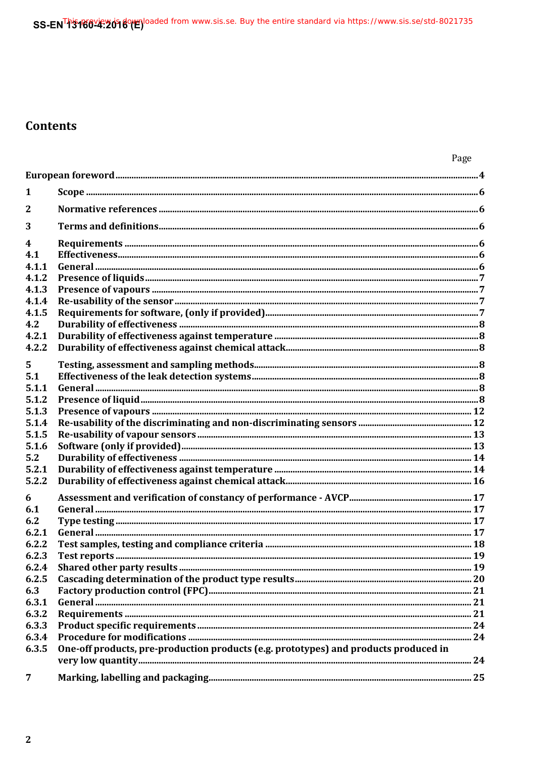SS-EN<sup>This1</sup>60<sup>-4</sup> 201735

## **Contents**

| 1                       |                                                                                      |  |
|-------------------------|--------------------------------------------------------------------------------------|--|
| $\overline{2}$          |                                                                                      |  |
| 3                       |                                                                                      |  |
| $\overline{\mathbf{4}}$ |                                                                                      |  |
| 4.1                     |                                                                                      |  |
| 4.1.1                   |                                                                                      |  |
| 4.1.2                   |                                                                                      |  |
| 4.1.3                   |                                                                                      |  |
| 4.1.4                   |                                                                                      |  |
| 4.1.5                   |                                                                                      |  |
| 4.2                     |                                                                                      |  |
| 4.2.1                   |                                                                                      |  |
| 4.2.2                   |                                                                                      |  |
| 5                       |                                                                                      |  |
| 5.1                     |                                                                                      |  |
| 5.1.1                   |                                                                                      |  |
| 5.1.2                   |                                                                                      |  |
| 5.1.3                   |                                                                                      |  |
| 5.1.4                   |                                                                                      |  |
| 5.1.5                   |                                                                                      |  |
| 5.1.6                   |                                                                                      |  |
| 5.2                     |                                                                                      |  |
| 5.2.1                   |                                                                                      |  |
| 5.2.2                   |                                                                                      |  |
| 6                       |                                                                                      |  |
| 6.1                     |                                                                                      |  |
| 6.2                     |                                                                                      |  |
| 6.2.1                   |                                                                                      |  |
| 6.2.2                   |                                                                                      |  |
| 6.2.3                   |                                                                                      |  |
| 6.2.4                   | Shared other party results                                                           |  |
| 6.2.5                   |                                                                                      |  |
| 6.3                     |                                                                                      |  |
| 6.3.1                   |                                                                                      |  |
| 6.3.2                   |                                                                                      |  |
| 6.3.3                   |                                                                                      |  |
| 6.3.4                   |                                                                                      |  |
| 6.3.5                   | One-off products, pre-production products (e.g. prototypes) and products produced in |  |
|                         |                                                                                      |  |
| $\overline{7}$          |                                                                                      |  |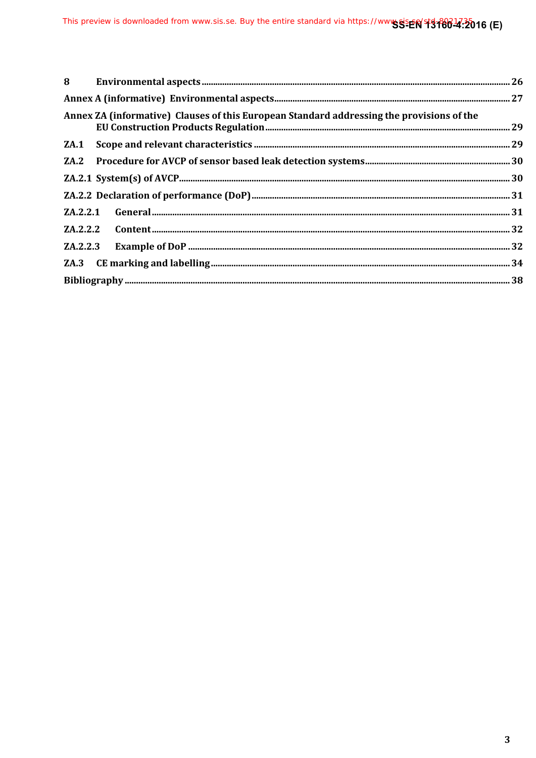| Annex ZA (informative) Clauses of this European Standard addressing the provisions of the |  |
|-------------------------------------------------------------------------------------------|--|
|                                                                                           |  |
|                                                                                           |  |
|                                                                                           |  |
|                                                                                           |  |
|                                                                                           |  |
|                                                                                           |  |
|                                                                                           |  |
|                                                                                           |  |
|                                                                                           |  |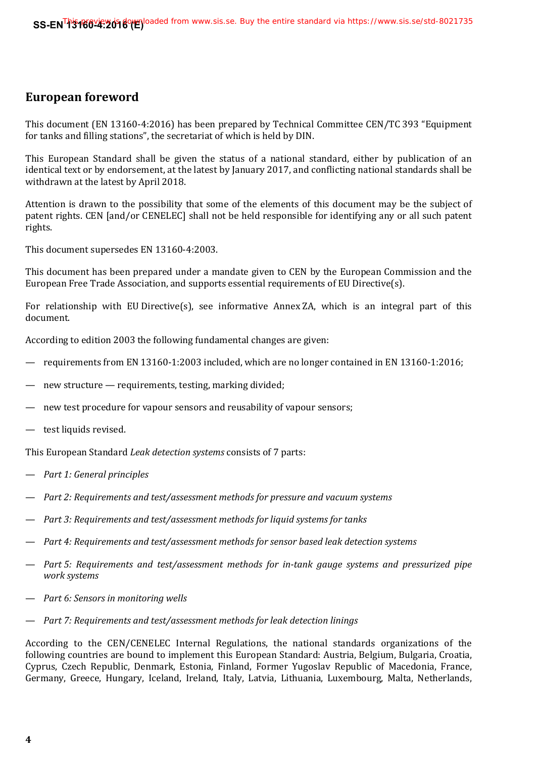## <span id="page-7-0"></span>**European foreword**

This document (EN 13160-4:2016) has been prepared by Technical Committee CEN/TC 393 "Equipment for tanks and filling stations", the secretariat of which is held by DIN.

This European Standard shall be given the status of a national standard, either by publication of an identical text or by endorsement, at the latest by January 2017, and conflicting national standards shall be withdrawn at the latest by April 2018.

Attention is drawn to the possibility that some of the elements of this document may be the subject of patent rights. CEN [and/or CENELEC] shall not be held responsible for identifying any or all such patent rights.

This document supersedes EN 13160-4:2003.

This document has been prepared under a mandate given to CEN by the European Commission and the European Free Trade Association, and supports essential requirements of EU Directive(s).

For relationship with EU Directive(s), see informative Annex ZA, which is an integral part of this document.

According to edition 2003 the following fundamental changes are given:

- requirements from EN 13160-1:2003 included, which are no longer contained in EN 13160-1:2016;
- new structure requirements, testing, marking divided;
- new test procedure for vapour sensors and reusability of vapour sensors;
- test liquids revised.

This European Standard *Leak detection systems* consists of 7 parts:

- *Part 1: General principles*
- *Part 2: Requirements and test/assessment methods for pressure and vacuum systems*
- *Part 3: Requirements and test/assessment methods for liquid systems for tanks*
- *Part 4: Requirements and test/assessment methods for sensor based leak detection systems*
- *Part 5: Requirements and test/assessment methods for in-tank gauge systems and pressurized pipe work systems*
- *Part 6: Sensors in monitoring wells*
- *Part 7: Requirements and test/assessment methods for leak detection linings*

According to the CEN/CENELEC Internal Regulations, the national standards organizations of the following countries are bound to implement this European Standard: Austria, Belgium, Bulgaria, Croatia, Cyprus, Czech Republic, Denmark, Estonia, Finland, Former Yugoslav Republic of Macedonia, France, Germany, Greece, Hungary, Iceland, Ireland, Italy, Latvia, Lithuania, Luxembourg, Malta, Netherlands,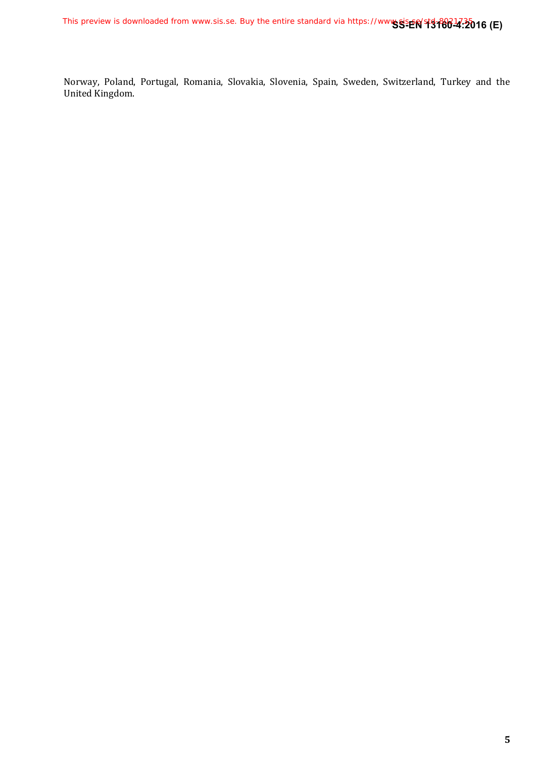Norway, Poland, Portugal, Romania, Slovakia, Slovenia, Spain, Sweden, Switzerland, Turkey and the United Kingdom.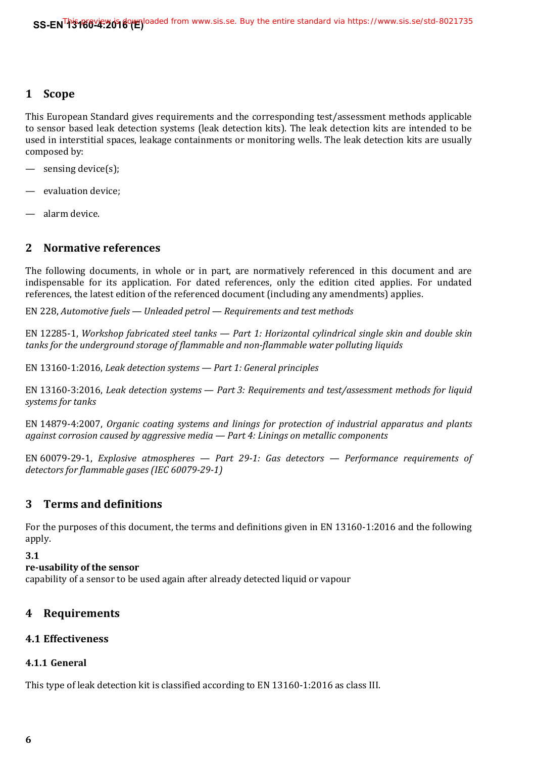## <span id="page-9-0"></span>**1 Scope**

This European Standard gives requirements and the corresponding test/assessment methods applicable to sensor based leak detection systems (leak detection kits). The leak detection kits are intended to be used in interstitial spaces, leakage containments or monitoring wells. The leak detection kits are usually composed by:

- sensing device(s);
- evaluation device;
- alarm device.

## <span id="page-9-1"></span>**2 Normative references**

The following documents, in whole or in part, are normatively referenced in this document and are indispensable for its application. For dated references, only the edition cited applies. For undated references, the latest edition of the referenced document (including any amendments) applies.

EN 228, *Automotive fuels — Unleaded petrol — Requirements and test methods*

EN 12285-1, *Workshop fabricated steel tanks — Part 1: Horizontal cylindrical single skin and double skin tanks for the underground storage of flammable and non-flammable water polluting liquids*

EN 13160-1:2016, *Leak detection systems — Part 1: General principles*

EN 13160-3:2016, *Leak detection systems — Part 3: Requirements and test/assessment methods for liquid systems for tanks*

EN 14879-4:2007, *Organic coating systems and linings for protection of industrial apparatus and plants against corrosion caused by aggressive media — Part 4: Linings on metallic components*

EN 60079-29-1, *Explosive atmospheres — Part 29-1: Gas detectors — Performance requirements of detectors for flammable gases (IEC 60079-29-1)*

## <span id="page-9-2"></span>**3 Terms and definitions**

For the purposes of this document, the terms and definitions given in EN 13160-1:2016 and the following apply.

## **3.1**

## **re-usability of the sensor**

capability of a sensor to be used again after already detected liquid or vapour

## <span id="page-9-3"></span>**4 Requirements**

## <span id="page-9-4"></span>**4.1 Effectiveness**

## <span id="page-9-5"></span>**4.1.1 General**

This type of leak detection kit is classified according to EN 13160-1:2016 as class III.